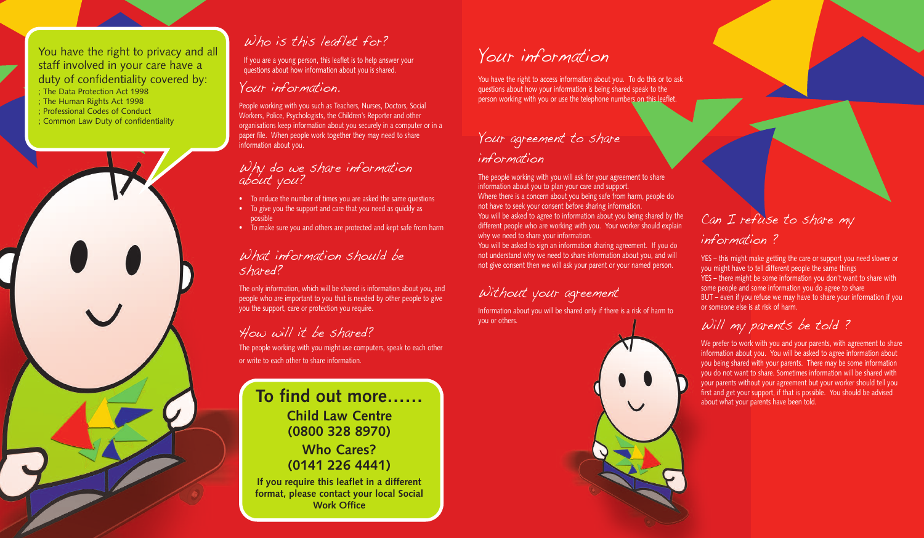## Your agreement to share information

The people working with you will ask for your agreement to share information about you to plan your care and support. Where there is a concern about you being safe from harm, people do not have to seek your consent before sharing information.

You will be asked to agree to information about you being shared by the different people who are working with you. Your worker should explain why we need to share your information.

You will be asked to sign an information sharing agreement. If you do not understand why we need to share information about you, and will not give consent then we will ask your parent or your named person.

Without your agreement

Information about you will be shared only if there is a risk of harm to you or others.

# Can I refuse to share my

### information ?

We prefer to work with you and your parents, with agreement to share information about you. You will be asked to agree information about you being shared with your parents. There may be some information you do not want to share. Sometimes information will be shared with your parents without your agreement but your worker should tell you first and get your support, if that is possible. You should be advised about what your parents have been told.

YES – this might make getting the care or support you need slower or you might have to tell different people the same things YES – there might be some information you don't want to share with some people and some information you do agree to share BUT – even if you refuse we may have to share your information if you or someone else is at risk of harm.

## Will my parents be told ?

## What information should be shared?

# Your information

You have the right to access information about you. To do this or to ask questions about how your information is being shared speak to the person working with you or use the telephone numbers on this leaflet.

If you are a young person, this leaflet is to help answer your questions about how information about you is shared.

## Your information.

People working with you such as Teachers, Nurses, Doctors, Social Workers, Police, Psychologists, the Children's Reporter and other organisations keep information about you securely in a computer or in a paper file. When people work together they may need to share information about you.

## Why do we share information about you?

- To reduce the number of times you are asked the same questions
- To give you the support and care that you need as quickly as possible
- To make sure you and others are protected and kept safe from harm

The only information, which will be shared is information about you, and people who are important to you that is needed by other people to give you the support, care or protection you require.

# How will it be shared?

The people working with you might use computers, speak to each other or write to each other to share information.

#### You have the right to privacy and all staff involved in your care have a duty of confidentiality covered by:

- ; The Data Protection Act 1998
- ; The Human Rights Act 1998
- ; Professional Codes of Conduct
- ; Common Law Duty of confidentiality



## Who is this leaflet for?

## **To find out more…… Child Law Centre (0800 328 8970) Who Cares?**

**(0141 226 4441)**

**If you require this leaflet in a different format, please contact your local Social Work Office**